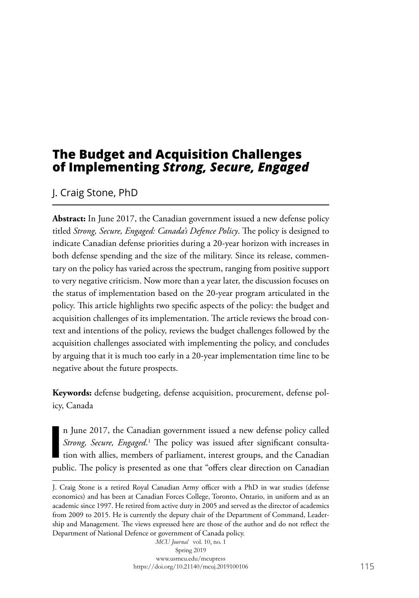# **The Budget and Acquisition Challenges of Implementing** *Strong, Secure, Engaged*

# J. Craig Stone, PhD

**Abstract:** In June 2017, the Canadian government issued a new defense policy titled *Strong, Secure, Engaged: Canada's Defence Policy*. The policy is designed to indicate Canadian defense priorities during a 20-year horizon with increases in both defense spending and the size of the military. Since its release, commentary on the policy has varied across the spectrum, ranging from positive support to very negative criticism. Now more than a year later, the discussion focuses on the status of implementation based on the 20-year program articulated in the policy. This article highlights two specific aspects of the policy: the budget and acquisition challenges of its implementation. The article reviews the broad context and intentions of the policy, reviews the budget challenges followed by the acquisition challenges associated with implementing the policy, and concludes by arguing that it is much too early in a 20-year implementation time line to be negative about the future prospects.

**Keywords:** defense budgeting, defense acquisition, procurement, defense policy, Canada

**I** n June 2017, the Canadian government issued a new defense policy called Strong, Secure, Engaged.<sup>1</sup> The policy was issued after significant consultation with allies, members of parliament, interest groups, and the Canadian public. The policy is presented as one that "offers clear direction on Canadian

J. Craig Stone is a retired Royal Canadian Army officer with a PhD in war studies (defense economics) and has been at Canadian Forces College, Toronto, Ontario, in uniform and as an academic since 1997. He retired from active duty in 2005 and served as the director of academics from 2009 to 2015. He is currently the deputy chair of the Department of Command, Leadership and Management. The views expressed here are those of the author and do not reflect the Department of National Defence or government of Canada policy.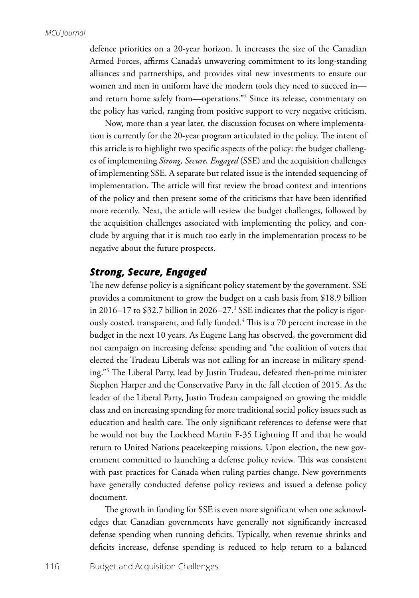defence priorities on a 20-year horizon. It increases the size of the Canadian Armed Forces, affirms Canada's unwavering commitment to its long-standing alliances and partnerships, and provides vital new investments to ensure our women and men in uniform have the modern tools they need to succeed in and return home safely from—operations."2 Since its release, commentary on the policy has varied, ranging from positive support to very negative criticism.

Now, more than a year later, the discussion focuses on where implementation is currently for the 20-year program articulated in the policy. The intent of this article is to highlight two specific aspects of the policy: the budget challenges of implementing *Strong, Secure, Engaged* (SSE) and the acquisition challenges of implementing SSE. A separate but related issue is the intended sequencing of implementation. The article will first review the broad context and intentions of the policy and then present some of the criticisms that have been identified more recently. Next, the article will review the budget challenges, followed by the acquisition challenges associated with implementing the policy, and conclude by arguing that it is much too early in the implementation process to be negative about the future prospects.

## *Strong, Secure, Engaged*

The new defense policy is a significant policy statement by the government. SSE provides a commitment to grow the budget on a cash basis from \$18.9 billion in 2016–17 to \$32.7 billion in 2026–27.<sup>3</sup> SSE indicates that the policy is rigorously costed, transparent, and fully funded.4 This is a 70 percent increase in the budget in the next 10 years. As Eugene Lang has observed, the government did not campaign on increasing defense spending and "the coalition of voters that elected the Trudeau Liberals was not calling for an increase in military spending."5 The Liberal Party, lead by Justin Trudeau, defeated then-prime minister Stephen Harper and the Conservative Party in the fall election of 2015. As the leader of the Liberal Party, Justin Trudeau campaigned on growing the middle class and on increasing spending for more traditional social policy issues such as education and health care. The only significant references to defense were that he would not buy the Lockheed Martin F-35 Lightning II and that he would return to United Nations peacekeeping missions. Upon election, the new government committed to launching a defense policy review. This was consistent with past practices for Canada when ruling parties change. New governments have generally conducted defense policy reviews and issued a defense policy document.

The growth in funding for SSE is even more significant when one acknowledges that Canadian governments have generally not significantly increased defense spending when running deficits. Typically, when revenue shrinks and deficits increase, defense spending is reduced to help return to a balanced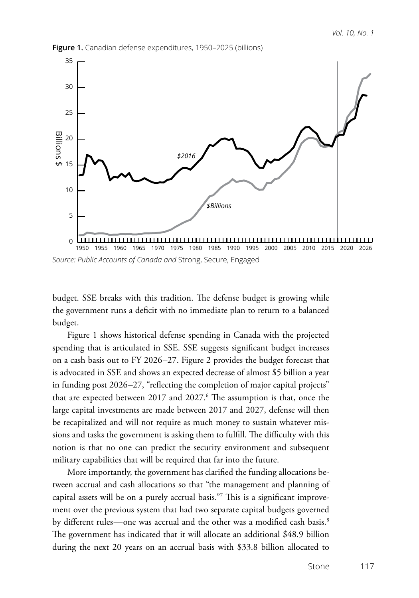

**Figure 1.** Canadian defense expenditures, 1950–2025 (billions)

*Source: Public Accounts of Canada and* Strong, Secure, Engaged

budget. SSE breaks with this tradition. The defense budget is growing while the government runs a deficit with no immediate plan to return to a balanced budget.

Figure 1 shows historical defense spending in Canada with the projected spending that is articulated in SSE. SSE suggests significant budget increases on a cash basis out to FY 2026–27. Figure 2 provides the budget forecast that is advocated in SSE and shows an expected decrease of almost \$5 billion a year in funding post 2026–27, "reflecting the completion of major capital projects" that are expected between 2017 and 2027. $^6$  The assumption is that, once the large capital investments are made between 2017 and 2027, defense will then be recapitalized and will not require as much money to sustain whatever missions and tasks the government is asking them to fulfill. The difficulty with this notion is that no one can predict the security environment and subsequent military capabilities that will be required that far into the future.

More importantly, the government has clarified the funding allocations between accrual and cash allocations so that "the management and planning of capital assets will be on a purely accrual basis."7 This is a significant improvement over the previous system that had two separate capital budgets governed by different rules—one was accrual and the other was a modified cash basis.<sup>8</sup> The government has indicated that it will allocate an additional \$48.9 billion during the next 20 years on an accrual basis with \$33.8 billion allocated to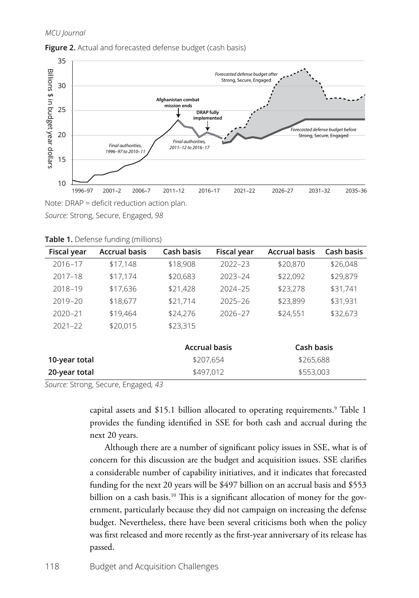### *MCU Journal*



#### **Figure 2.** Actual and forecasted defense budget (cash basis)

*Source:* Strong, Secure, Engaged, *98*

| Fiscal year   | <b>Accrual basis</b> | Cash basis           | Fiscal year | <b>Accrual basis</b> | Cash basis |
|---------------|----------------------|----------------------|-------------|----------------------|------------|
| 2016-17       | \$17,148             | \$18,908             | $2022 - 23$ | \$20,870             | \$26,048   |
| $2017 - 18$   | \$17,174             | \$20,683             | $2023 - 24$ | \$22,092             | \$29,879   |
| 2018-19       | \$17,636             | \$21,428             | $2024 - 25$ | \$23,278             | \$31,741   |
| $2019 - 20$   | \$18,677             | \$21,714             | $2025 - 26$ | \$23,899             | \$31,931   |
| $2020 - 21$   | \$19,464             | \$24,276             | $2026 - 27$ | \$24,551             | \$32,673   |
| $2021 - 22$   | \$20,015             | \$23,315             |             |                      |            |
|               |                      |                      |             |                      |            |
|               |                      | <b>Accrual basis</b> |             | Cash basis           |            |
| 10-year total |                      | \$207,654            |             | \$265,688            |            |
| 20-year total |                      | \$497,012            |             | \$553,003            |            |

**Table 1.** Defense funding (millions)

*Source:* Strong, Secure, Engaged*, 43*

capital assets and \$15.1 billion allocated to operating requirements.9 Table 1 provides the funding identified in SSE for both cash and accrual during the next 20 years.

Although there are a number of significant policy issues in SSE, what is of concern for this discussion are the budget and acquisition issues. SSE clarifies a considerable number of capability initiatives, and it indicates that forecasted funding for the next 20 years will be \$497 billion on an accrual basis and \$553 billion on a cash basis.<sup>10</sup> This is a significant allocation of money for the government, particularly because they did not campaign on increasing the defense budget. Nevertheless, there have been several criticisms both when the policy was first released and more recently as the first-year anniversary of its release has passed.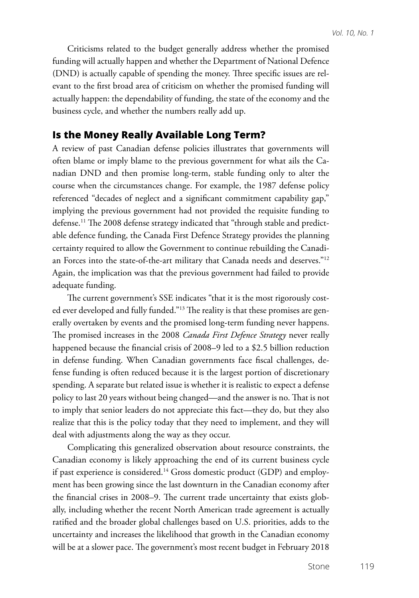Criticisms related to the budget generally address whether the promised funding will actually happen and whether the Department of National Defence (DND) is actually capable of spending the money. Three specific issues are relevant to the first broad area of criticism on whether the promised funding will actually happen: the dependability of funding, the state of the economy and the business cycle, and whether the numbers really add up.

## **Is the Money Really Available Long Term?**

A review of past Canadian defense policies illustrates that governments will often blame or imply blame to the previous government for what ails the Canadian DND and then promise long-term, stable funding only to alter the course when the circumstances change. For example, the 1987 defense policy referenced "decades of neglect and a significant commitment capability gap," implying the previous government had not provided the requisite funding to defense.11 The 2008 defense strategy indicated that "through stable and predictable defence funding, the Canada First Defence Strategy provides the planning certainty required to allow the Government to continue rebuilding the Canadian Forces into the state-of-the-art military that Canada needs and deserves."12 Again, the implication was that the previous government had failed to provide adequate funding.

The current government's SSE indicates "that it is the most rigorously costed ever developed and fully funded."13 The reality is that these promises are generally overtaken by events and the promised long-term funding never happens. The promised increases in the 2008 *Canada First Defence Strategy* never really happened because the financial crisis of 2008–9 led to a \$2.5 billion reduction in defense funding. When Canadian governments face fiscal challenges, defense funding is often reduced because it is the largest portion of discretionary spending. A separate but related issue is whether it is realistic to expect a defense policy to last 20 years without being changed—and the answer is no. That is not to imply that senior leaders do not appreciate this fact—they do, but they also realize that this is the policy today that they need to implement, and they will deal with adjustments along the way as they occur.

Complicating this generalized observation about resource constraints, the Canadian economy is likely approaching the end of its current business cycle if past experience is considered.<sup>14</sup> Gross domestic product (GDP) and employment has been growing since the last downturn in the Canadian economy after the financial crises in 2008–9. The current trade uncertainty that exists globally, including whether the recent North American trade agreement is actually ratified and the broader global challenges based on U.S. priorities, adds to the uncertainty and increases the likelihood that growth in the Canadian economy will be at a slower pace. The government's most recent budget in February 2018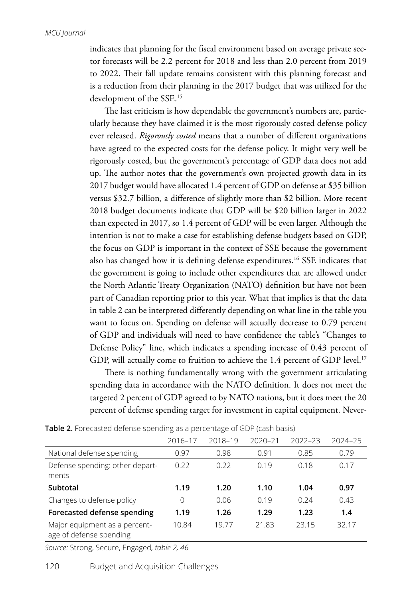indicates that planning for the fiscal environment based on average private sector forecasts will be 2.2 percent for 2018 and less than 2.0 percent from 2019 to 2022. Their fall update remains consistent with this planning forecast and is a reduction from their planning in the 2017 budget that was utilized for the development of the SSE.15

The last criticism is how dependable the government's numbers are, particularly because they have claimed it is the most rigorously costed defense policy ever released. *Rigorously costed* means that a number of different organizations have agreed to the expected costs for the defense policy. It might very well be rigorously costed, but the government's percentage of GDP data does not add up. The author notes that the government's own projected growth data in its 2017 budget would have allocated 1.4 percent of GDP on defense at \$35 billion versus \$32.7 billion, a difference of slightly more than \$2 billion. More recent 2018 budget documents indicate that GDP will be \$20 billion larger in 2022 than expected in 2017, so 1.4 percent of GDP will be even larger. Although the intention is not to make a case for establishing defense budgets based on GDP, the focus on GDP is important in the context of SSE because the government also has changed how it is defining defense expenditures.16 SSE indicates that the government is going to include other expenditures that are allowed under the North Atlantic Treaty Organization (NATO) definition but have not been part of Canadian reporting prior to this year. What that implies is that the data in table 2 can be interpreted differently depending on what line in the table you want to focus on. Spending on defense will actually decrease to 0.79 percent of GDP and individuals will need to have confidence the table's "Changes to Defense Policy" line, which indicates a spending increase of 0.43 percent of GDP, will actually come to fruition to achieve the 1.4 percent of GDP level.<sup>17</sup>

There is nothing fundamentally wrong with the government articulating spending data in accordance with the NATO definition. It does not meet the targeted 2 percent of GDP agreed to by NATO nations, but it does meet the 20 percent of defense spending target for investment in capital equipment. Never-

|                                                          | 2016-17 | 2018-19 | 2020-21 | $2022 - 23$ | 2024-25 |
|----------------------------------------------------------|---------|---------|---------|-------------|---------|
| National defense spending                                | 0.97    | 0.98    | 0.91    | 0.85        | 0.79    |
| Defense spending: other depart-<br>ments                 | 0.22    | 0.22    | 0.19    | 0.18        | 0.17    |
| Subtotal                                                 | 1.19    | 1.20    | 1.10    | 1.04        | 0.97    |
| Changes to defense policy                                | 0       | 0.06    | 0.19    | 0.24        | 0.43    |
| Forecasted defense spending                              | 1.19    | 1.26    | 1.29    | 1.23        | 1.4     |
| Major equipment as a percent-<br>age of defense spending | 10.84   | 19.77   | 21.83   | 23.15       | 32.17   |

**Table 2.** Forecasted defense spending as a percentage of GDP (cash basis)

*Source:* Strong, Secure, Engaged*, table 2, 46*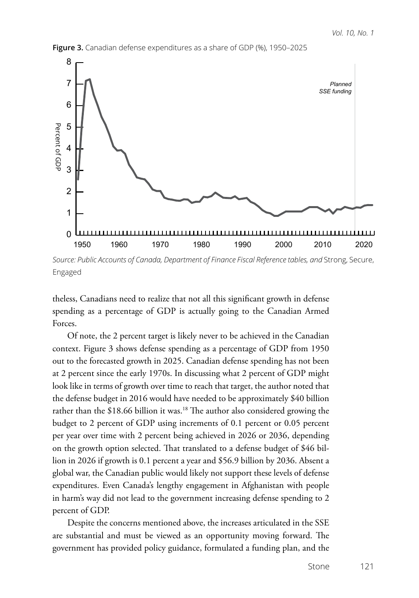

**Figure 3.** Canadian defense expenditures as a share of GDP (%), 1950–2025

*Source: Public Accounts of Canada, Department of Finance Fiscal Reference tables, and* Strong, Secure, Engaged

theless, Canadians need to realize that not all this significant growth in defense spending as a percentage of GDP is actually going to the Canadian Armed Forces.

Of note, the 2 percent target is likely never to be achieved in the Canadian context. Figure 3 shows defense spending as a percentage of GDP from 1950 out to the forecasted growth in 2025. Canadian defense spending has not been at 2 percent since the early 1970s. In discussing what 2 percent of GDP might look like in terms of growth over time to reach that target, the author noted that the defense budget in 2016 would have needed to be approximately \$40 billion rather than the \$18.66 billion it was.<sup>18</sup> The author also considered growing the budget to 2 percent of GDP using increments of 0.1 percent or 0.05 percent per year over time with 2 percent being achieved in 2026 or 2036, depending on the growth option selected. That translated to a defense budget of \$46 billion in 2026 if growth is 0.1 percent a year and \$56.9 billion by 2036. Absent a global war, the Canadian public would likely not support these levels of defense expenditures. Even Canada's lengthy engagement in Afghanistan with people in harm's way did not lead to the government increasing defense spending to 2 percent of GDP.

Despite the concerns mentioned above, the increases articulated in the SSE are substantial and must be viewed as an opportunity moving forward. The government has provided policy guidance, formulated a funding plan, and the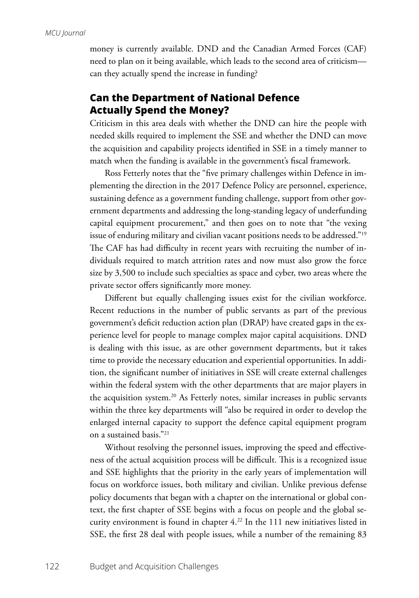money is currently available. DND and the Canadian Armed Forces (CAF) need to plan on it being available, which leads to the second area of criticism can they actually spend the increase in funding?

# **Can the Department of National Defence Actually Spend the Money?**

Criticism in this area deals with whether the DND can hire the people with needed skills required to implement the SSE and whether the DND can move the acquisition and capability projects identified in SSE in a timely manner to match when the funding is available in the government's fiscal framework.

Ross Fetterly notes that the "five primary challenges within Defence in implementing the direction in the 2017 Defence Policy are personnel, experience, sustaining defence as a government funding challenge, support from other government departments and addressing the long-standing legacy of underfunding capital equipment procurement," and then goes on to note that "the vexing issue of enduring military and civilian vacant positions needs to be addressed."19 The CAF has had difficulty in recent years with recruiting the number of individuals required to match attrition rates and now must also grow the force size by 3,500 to include such specialties as space and cyber, two areas where the private sector offers significantly more money.

Different but equally challenging issues exist for the civilian workforce. Recent reductions in the number of public servants as part of the previous government's deficit reduction action plan (DRAP) have created gaps in the experience level for people to manage complex major capital acquisitions. DND is dealing with this issue, as are other government departments, but it takes time to provide the necessary education and experiential opportunities. In addition, the significant number of initiatives in SSE will create external challenges within the federal system with the other departments that are major players in the acquisition system.<sup>20</sup> As Fetterly notes, similar increases in public servants within the three key departments will "also be required in order to develop the enlarged internal capacity to support the defence capital equipment program on a sustained basis."21

Without resolving the personnel issues, improving the speed and effectiveness of the actual acquisition process will be difficult. This is a recognized issue and SSE highlights that the priority in the early years of implementation will focus on workforce issues, both military and civilian. Unlike previous defense policy documents that began with a chapter on the international or global context, the first chapter of SSE begins with a focus on people and the global security environment is found in chapter 4.22 In the 111 new initiatives listed in SSE, the first 28 deal with people issues, while a number of the remaining 83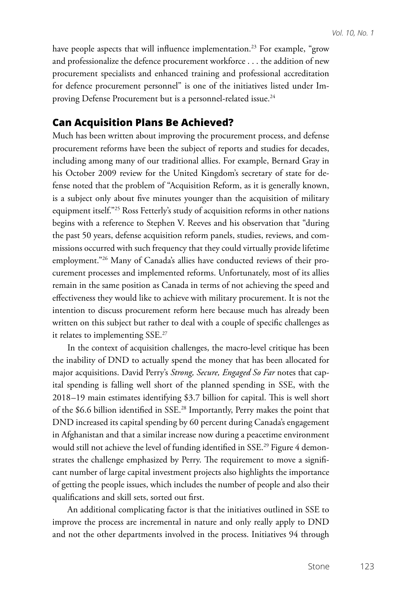have people aspects that will influence implementation.<sup>23</sup> For example, "grow and professionalize the defence procurement workforce . . . the addition of new procurement specialists and enhanced training and professional accreditation for defence procurement personnel" is one of the initiatives listed under Improving Defense Procurement but is a personnel-related issue.<sup>24</sup>

# **Can Acquisition Plans Be Achieved?**

Much has been written about improving the procurement process, and defense procurement reforms have been the subject of reports and studies for decades, including among many of our traditional allies. For example, Bernard Gray in his October 2009 review for the United Kingdom's secretary of state for defense noted that the problem of "Acquisition Reform, as it is generally known, is a subject only about five minutes younger than the acquisition of military equipment itself."25 Ross Fetterly's study of acquisition reforms in other nations begins with a reference to Stephen V. Reeves and his observation that "during the past 50 years, defense acquisition reform panels, studies, reviews, and commissions occurred with such frequency that they could virtually provide lifetime employment."26 Many of Canada's allies have conducted reviews of their procurement processes and implemented reforms. Unfortunately, most of its allies remain in the same position as Canada in terms of not achieving the speed and effectiveness they would like to achieve with military procurement. It is not the intention to discuss procurement reform here because much has already been written on this subject but rather to deal with a couple of specific challenges as it relates to implementing SSE.<sup>27</sup>

In the context of acquisition challenges, the macro-level critique has been the inability of DND to actually spend the money that has been allocated for major acquisitions. David Perry's *Strong, Secure, Engaged So Far* notes that capital spending is falling well short of the planned spending in SSE, with the 2018–19 main estimates identifying \$3.7 billion for capital. This is well short of the \$6.6 billion identified in SSE.28 Importantly, Perry makes the point that DND increased its capital spending by 60 percent during Canada's engagement in Afghanistan and that a similar increase now during a peacetime environment would still not achieve the level of funding identified in SSE.<sup>29</sup> Figure 4 demonstrates the challenge emphasized by Perry. The requirement to move a significant number of large capital investment projects also highlights the importance of getting the people issues, which includes the number of people and also their qualifications and skill sets, sorted out first.

An additional complicating factor is that the initiatives outlined in SSE to improve the process are incremental in nature and only really apply to DND and not the other departments involved in the process. Initiatives 94 through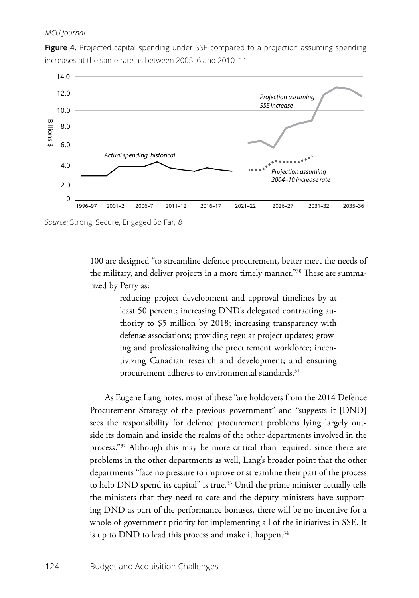### *MCU Journal*

**Figure 4.** Projected capital spending under SSE compared to a projection assuming spending increases at the same rate as between 2005–6 and 2010–11



*Source:* Strong, Secure, Engaged So Far*, 8*

100 are designed "to streamline defence procurement, better meet the needs of the military, and deliver projects in a more timely manner."30 These are summarized by Perry as:

> reducing project development and approval timelines by at least 50 percent; increasing DND's delegated contracting authority to \$5 million by 2018; increasing transparency with defense associations; providing regular project updates; growing and professionalizing the procurement workforce; incentivizing Canadian research and development; and ensuring procurement adheres to environmental standards.<sup>31</sup>

As Eugene Lang notes, most of these "are holdovers from the 2014 Defence Procurement Strategy of the previous government" and "suggests it [DND] sees the responsibility for defence procurement problems lying largely outside its domain and inside the realms of the other departments involved in the process."32 Although this may be more critical than required, since there are problems in the other departments as well, Lang's broader point that the other departments "face no pressure to improve or streamline their part of the process to help DND spend its capital" is true.<sup>33</sup> Until the prime minister actually tells the ministers that they need to care and the deputy ministers have supporting DND as part of the performance bonuses, there will be no incentive for a whole-of-government priority for implementing all of the initiatives in SSE. It is up to DND to lead this process and make it happen.<sup>34</sup>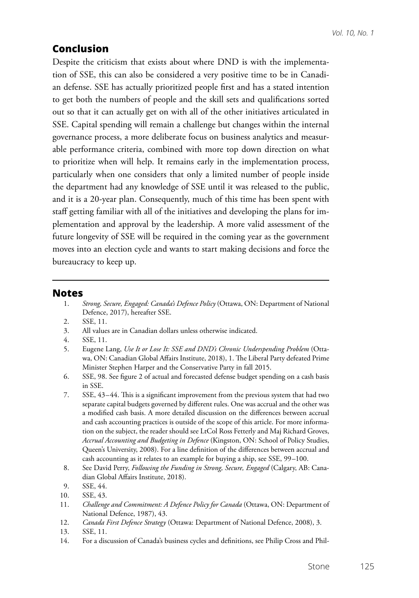# **Conclusion**

Despite the criticism that exists about where DND is with the implementation of SSE, this can also be considered a very positive time to be in Canadian defense. SSE has actually prioritized people first and has a stated intention to get both the numbers of people and the skill sets and qualifications sorted out so that it can actually get on with all of the other initiatives articulated in SSE. Capital spending will remain a challenge but changes within the internal governance process, a more deliberate focus on business analytics and measurable performance criteria, combined with more top down direction on what to prioritize when will help. It remains early in the implementation process, particularly when one considers that only a limited number of people inside the department had any knowledge of SSE until it was released to the public, and it is a 20-year plan. Consequently, much of this time has been spent with staff getting familiar with all of the initiatives and developing the plans for implementation and approval by the leadership. A more valid assessment of the future longevity of SSE will be required in the coming year as the government moves into an election cycle and wants to start making decisions and force the bureaucracy to keep up.

### **Notes**

- 1. *Strong, Secure, Engaged: Canada's Defence Policy* (Ottawa, ON: Department of National Defence, 2017), hereafter SSE.
- 2. SSE, 11.
- 3. All values are in Canadian dollars unless otherwise indicated.
- 4. SSE, 11.
- 5. Eugene Lang, *Use It or Lose It: SSE and DND's Chronic Underspending Problem* (Ottawa, ON: Canadian Global Affairs Institute, 2018), 1. The Liberal Party defeated Prime Minister Stephen Harper and the Conservative Party in fall 2015.
- 6. SSE, 98. See figure 2 of actual and forecasted defense budget spending on a cash basis in SSE.
- 7. SSE, 43–44. This is a significant improvement from the previous system that had two separate capital budgets governed by different rules. One was accrual and the other was a modified cash basis. A more detailed discussion on the differences between accrual and cash accounting practices is outside of the scope of this article. For more information on the subject, the reader should see LtCol Ross Fetterly and Maj Richard Groves, *Accrual Accounting and Budgeting in Defence* (Kingston, ON: School of Policy Studies, Queen's University, 2008). For a line definition of the differences between accrual and cash accounting as it relates to an example for buying a ship, see SSE, 99–100.
- 8. See David Perry, *Following the Funding in Strong, Secure, Engaged* (Calgary, AB: Canadian Global Affairs Institute, 2018).
- 9. SSE, 44.
- 10. SSE, 43.
- 11. *Challenge and Commitment: A Defence Policy for Canada* (Ottawa, ON: Department of National Defence, 1987), 43.
- 12. *Canada First Defence Strategy* (Ottawa: Department of National Defence, 2008), 3.
- 13. SSE, 11.
- 14. For a discussion of Canada's business cycles and definitions, see Philip Cross and Phil-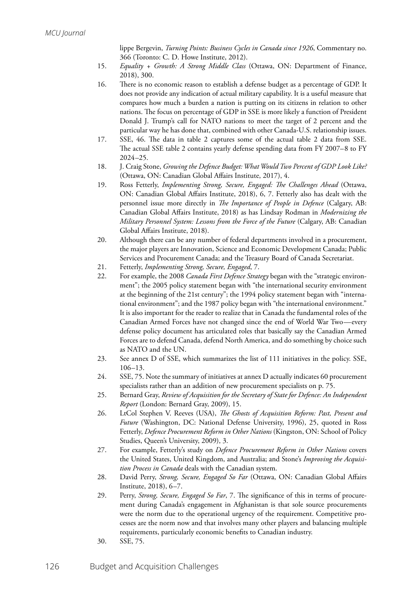lippe Bergevin, *Turning Points: Business Cycles in Canada since 1926*, Commentary no. 366 (Toronto: C. D. Howe Institute, 2012).

- 15. *Equality + Growth: A Strong Middle Class* (Ottawa, ON: Department of Finance, 2018), 300.
- 16. There is no economic reason to establish a defense budget as a percentage of GDP. It does not provide any indication of actual military capability. It is a useful measure that compares how much a burden a nation is putting on its citizens in relation to other nations. The focus on percentage of GDP in SSE is more likely a function of President Donald J. Trump's call for NATO nations to meet the target of 2 percent and the particular way he has done that, combined with other Canada-U.S. relationship issues.
- 17. SSE, 46. The data in table 2 captures some of the actual table 2 data from SSE. The actual SSE table 2 contains yearly defense spending data from FY 2007–8 to FY 2024–25.
- 18. J. Craig Stone, *Growing the Defence Budget: What Would Two Percent of GDP Look Like?* (Ottawa, ON: Canadian Global Affairs Institute, 2017), 4.
- 19. Ross Fetterly, *Implementing Strong, Secure, Engaged: The Challenges Ahead* (Ottawa, ON: Canadian Global Affairs Institute, 2018), 6, 7. Fetterly also has dealt with the personnel issue more directly in *The Importance of People in Defence* (Calgary, AB: Canadian Global Affairs Institute, 2018) as has Lindsay Rodman in *Modernizing the Military Personnel System: Lessons from the Force of the Future* (Calgary, AB: Canadian Global Affairs Institute, 2018).
- 20. Although there can be any number of federal departments involved in a procurement, the major players are Innovation, Science and Economic Development Canada; Public Services and Procurement Canada; and the Treasury Board of Canada Secretariat.
- 21. Fetterly, *Implementing Strong, Secure, Engaged*, 7.
- 22. For example, the 2008 *Canada First Defence Strategy* began with the "strategic environment"; the 2005 policy statement began with "the international security environment at the beginning of the 21st century"; the 1994 policy statement began with "international environment"; and the 1987 policy began with "the international environment." It is also important for the reader to realize that in Canada the fundamental roles of the Canadian Armed Forces have not changed since the end of World War Two—every defense policy document has articulated roles that basically say the Canadian Armed Forces are to defend Canada, defend North America, and do something by choice such as NATO and the UN.
- 23. See annex D of SSE, which summarizes the list of 111 initiatives in the policy. SSE, 106–13.
- 24. SSE, 75. Note the summary of initiatives at annex D actually indicates 60 procurement specialists rather than an addition of new procurement specialists on p. 75.
- 25. Bernard Gray, *Review of Acquisition for the Secretary of State for Defence: An Independent Report* (London: Bernard Gray, 2009), 15.
- 26. LtCol Stephen V. Reeves (USA), *The Ghosts of Acquisition Reform: Past, Present and Future* (Washington, DC: National Defense University, 1996), 25, quoted in Ross Fetterly, *Defence Procurement Reform in Other Nations* (Kingston, ON: School of Policy Studies, Queen's University, 2009), 3.
- 27. For example, Fetterly's study on *Defence Procurement Reform in Other Nations* covers the United States, United Kingdom, and Australia; and Stone's *Improving the Acquisition Process in Canada* deals with the Canadian system.
- 28. David Perry, *Strong, Secure, Engaged So Far* (Ottawa, ON: Canadian Global Affairs Institute, 2018), 6–7.
- 29. Perry, *Strong, Secure, Engaged So Far*, 7. The significance of this in terms of procurement during Canada's engagement in Afghanistan is that sole source procurements were the norm due to the operational urgency of the requirement. Competitive processes are the norm now and that involves many other players and balancing multiple requirements, particularly economic benefits to Canadian industry.
- 30. SSE, 75.